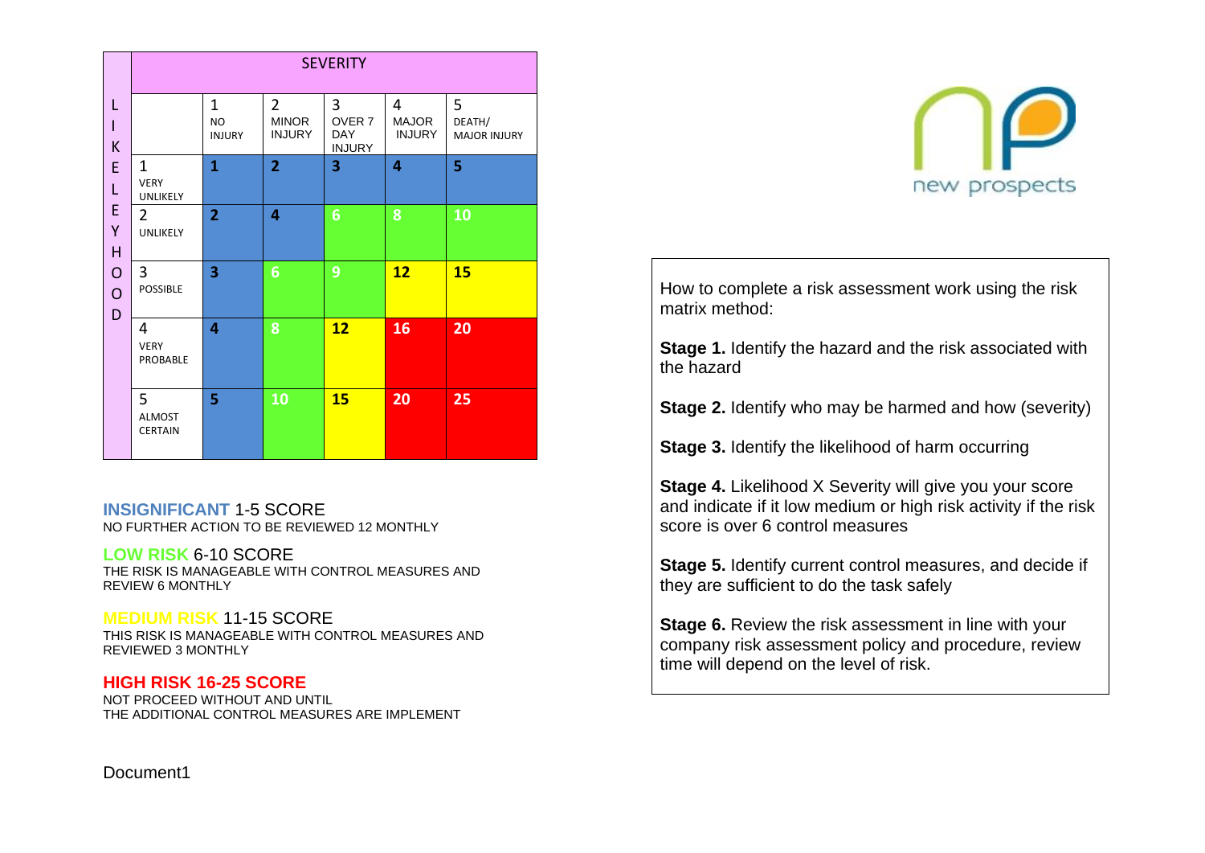|                                    |                                         |                                            |                                                 | <b>SEVERITY</b>                                       |                                    |                                    |
|------------------------------------|-----------------------------------------|--------------------------------------------|-------------------------------------------------|-------------------------------------------------------|------------------------------------|------------------------------------|
| L<br>$\mathsf{I}$<br>K             |                                         | $\mathbf{1}$<br><b>NO</b><br><b>INJURY</b> | $\overline{2}$<br><b>MINOR</b><br><b>INJURY</b> | 3<br>OVER <sub>7</sub><br><b>DAY</b><br><b>INJURY</b> | 4<br><b>MAJOR</b><br><b>INJURY</b> | 5<br>DEATH/<br><b>MAJOR INJURY</b> |
| E<br>L                             | $\mathbf{1}$<br><b>VERY</b><br>UNLIKELY | $\mathbf{1}$                               | $\overline{2}$                                  | 3                                                     | 4                                  | 5                                  |
| E<br>Υ<br>H                        | $\overline{2}$<br>UNLIKELY              | $\overline{2}$                             | 4                                               | 6                                                     | 8                                  | 10                                 |
| $\mathbf O$<br>$\overline{O}$<br>D | 3<br>POSSIBLE                           | 3                                          | 6                                               | 9                                                     | 12                                 | 15                                 |
|                                    | 4<br><b>VERY</b><br>PROBABLE            | 4                                          | 8                                               | 12                                                    | 16                                 | 20                                 |
|                                    | 5<br><b>ALMOST</b><br><b>CERTAIN</b>    | 5                                          | 10                                              | 15                                                    | 20                                 | 25                                 |

## **INSIGNIFICANT** 1-5 SCORE

NO FURTHER ACTION TO BE REVIEWED 12 MONTHLY

## **LOW RISK** 6-10 SCORE

THE RISK IS MANAGEABLE WITH CONTROL MEASURES AND REVIEW 6 MONTHLY

## **MEDIUM RISK** 11-15 SCORE

THIS RISK IS MANAGEABLE WITH CONTROL MEASURES AND REVIEWED 3 MONTHLY

## **HIGH RISK 16-25 SCORE**

NOT PROCEED WITHOUT AND UNTIL THE ADDITIONAL CONTROL MEASURES ARE IMPLEMENT



How to complete a risk assessment work using the risk matrix method:

**Stage 1.** Identify the hazard and the risk associated with the hazard

**Stage 2.** Identify who may be harmed and how (severity)

**Stage 3.** Identify the likelihood of harm occurring

**Stage 4.** Likelihood X Severity will give you your score and indicate if it low medium or high risk activity if the risk score is over 6 control measures

**Stage 5.** Identify current control measures, and decide if they are sufficient to do the task safely

**Stage 6.** Review the risk assessment in line with your company risk assessment policy and procedure, review time will depend on the level of risk.

Document1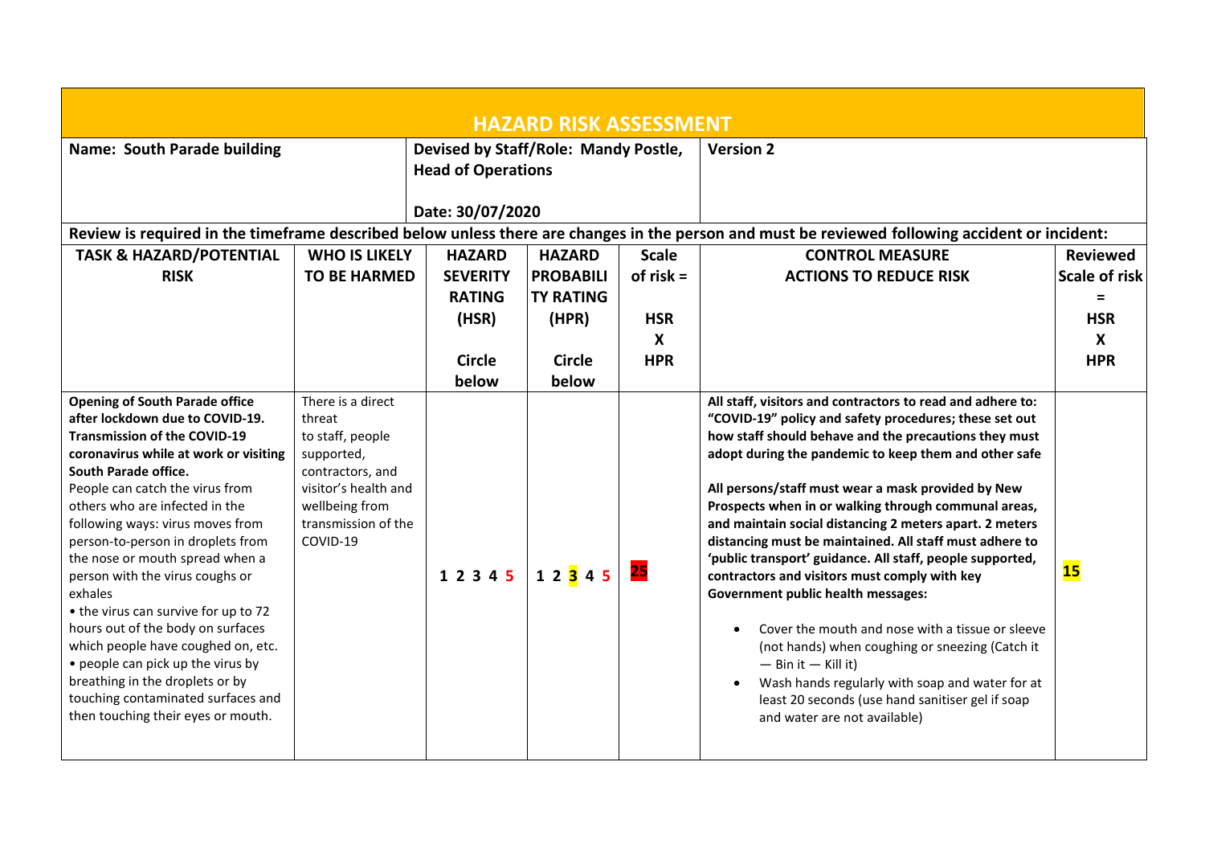| <b>HAZARD RISK ASSESSMENT</b>                                                                                                                                                                                                                                                                                                                                                                                                                                                                                                                                                                                                                                                          |                                                                                                                                                                |                                                                                      |                                                                                          |                                                                             |                                                                                                                                                                                                                                                                                                                                                                                                                                                                                                                                                                                                                                                                                                                                                                                                                                                                                                                             |                                                                                            |  |
|----------------------------------------------------------------------------------------------------------------------------------------------------------------------------------------------------------------------------------------------------------------------------------------------------------------------------------------------------------------------------------------------------------------------------------------------------------------------------------------------------------------------------------------------------------------------------------------------------------------------------------------------------------------------------------------|----------------------------------------------------------------------------------------------------------------------------------------------------------------|--------------------------------------------------------------------------------------|------------------------------------------------------------------------------------------|-----------------------------------------------------------------------------|-----------------------------------------------------------------------------------------------------------------------------------------------------------------------------------------------------------------------------------------------------------------------------------------------------------------------------------------------------------------------------------------------------------------------------------------------------------------------------------------------------------------------------------------------------------------------------------------------------------------------------------------------------------------------------------------------------------------------------------------------------------------------------------------------------------------------------------------------------------------------------------------------------------------------------|--------------------------------------------------------------------------------------------|--|
| Name: South Parade building<br><b>Head of Operations</b><br>Date: 30/07/2020                                                                                                                                                                                                                                                                                                                                                                                                                                                                                                                                                                                                           |                                                                                                                                                                |                                                                                      | Devised by Staff/Role: Mandy Postle,                                                     |                                                                             | <b>Version 2</b><br>Review is required in the timeframe described below unless there are changes in the person and must be reviewed following accident or incident:                                                                                                                                                                                                                                                                                                                                                                                                                                                                                                                                                                                                                                                                                                                                                         |                                                                                            |  |
| <b>TASK &amp; HAZARD/POTENTIAL</b><br><b>RISK</b>                                                                                                                                                                                                                                                                                                                                                                                                                                                                                                                                                                                                                                      | <b>WHO IS LIKELY</b><br><b>TO BE HARMED</b>                                                                                                                    | <b>HAZARD</b><br><b>SEVERITY</b><br><b>RATING</b><br>(HSR)<br><b>Circle</b><br>below | <b>HAZARD</b><br><b>PROBABILI</b><br><b>TY RATING</b><br>(HPR)<br><b>Circle</b><br>below | <b>Scale</b><br>of $risk =$<br><b>HSR</b><br>$\boldsymbol{X}$<br><b>HPR</b> | <b>CONTROL MEASURE</b><br><b>ACTIONS TO REDUCE RISK</b>                                                                                                                                                                                                                                                                                                                                                                                                                                                                                                                                                                                                                                                                                                                                                                                                                                                                     | <b>Reviewed</b><br><b>Scale of risk</b><br>$=$<br><b>HSR</b><br>$\mathsf{X}$<br><b>HPR</b> |  |
| <b>Opening of South Parade office</b><br>after lockdown due to COVID-19.<br><b>Transmission of the COVID-19</b><br>coronavirus while at work or visiting<br>South Parade office.<br>People can catch the virus from<br>others who are infected in the<br>following ways: virus moves from<br>person-to-person in droplets from<br>the nose or mouth spread when a<br>person with the virus coughs or<br>exhales<br>• the virus can survive for up to 72<br>hours out of the body on surfaces<br>which people have coughed on, etc.<br>• people can pick up the virus by<br>breathing in the droplets or by<br>touching contaminated surfaces and<br>then touching their eyes or mouth. | There is a direct<br>threat<br>to staff, people<br>supported,<br>contractors, and<br>visitor's health and<br>wellbeing from<br>transmission of the<br>COVID-19 | 1 2 3 4 5 1 2 3 4 5                                                                  |                                                                                          | 25                                                                          | All staff, visitors and contractors to read and adhere to:<br>"COVID-19" policy and safety procedures; these set out<br>how staff should behave and the precautions they must<br>adopt during the pandemic to keep them and other safe<br>All persons/staff must wear a mask provided by New<br>Prospects when in or walking through communal areas,<br>and maintain social distancing 2 meters apart. 2 meters<br>distancing must be maintained. All staff must adhere to<br>'public transport' guidance. All staff, people supported,<br>contractors and visitors must comply with key<br><b>Government public health messages:</b><br>Cover the mouth and nose with a tissue or sleeve<br>(not hands) when coughing or sneezing (Catch it<br>$-$ Bin it $-$ Kill it)<br>Wash hands regularly with soap and water for at<br>$\bullet$<br>least 20 seconds (use hand sanitiser gel if soap<br>and water are not available) | 15                                                                                         |  |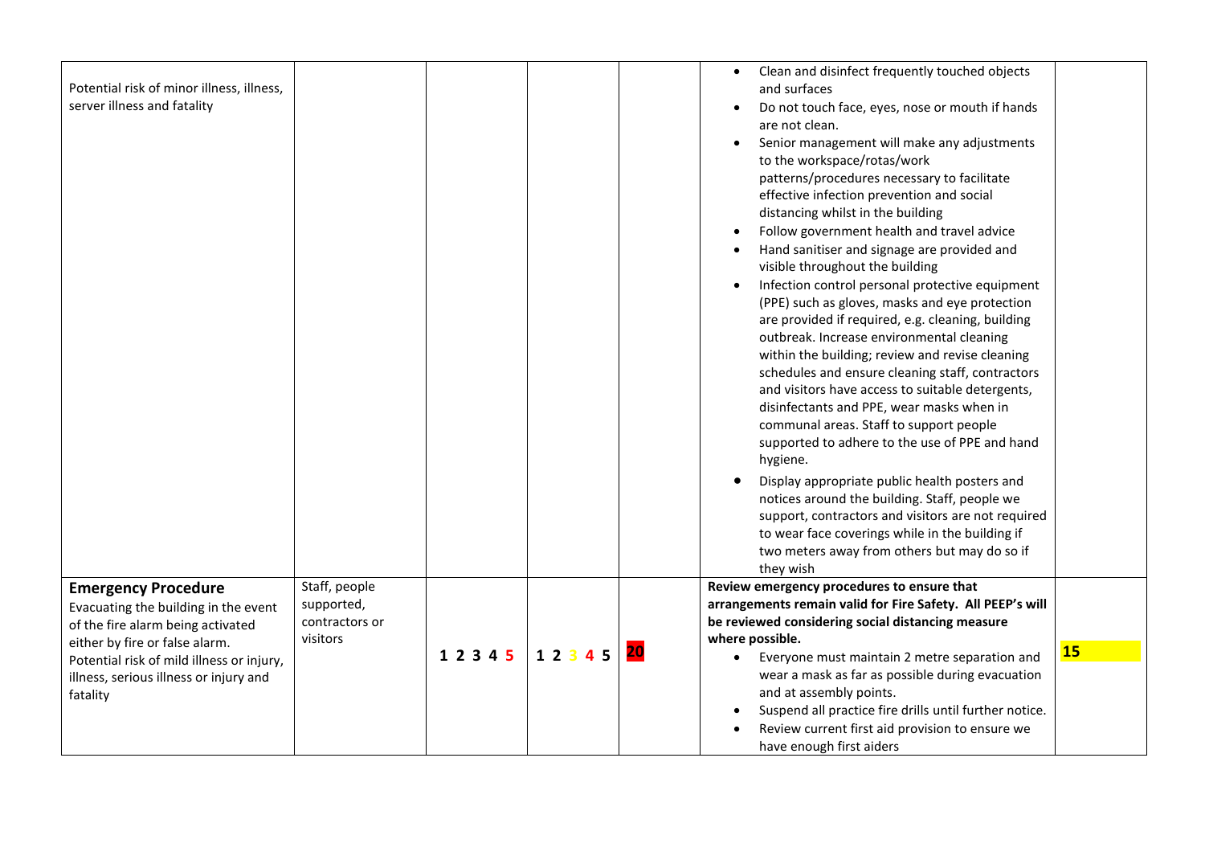| Potential risk of minor illness, illness,<br>server illness and fatality                                                                                                                                                                     |                                                           |           |       |    | Clean and disinfect frequently touched objects<br>$\bullet$<br>and surfaces<br>Do not touch face, eyes, nose or mouth if hands<br>are not clean.<br>Senior management will make any adjustments<br>to the workspace/rotas/work<br>patterns/procedures necessary to facilitate<br>effective infection prevention and social<br>distancing whilst in the building<br>Follow government health and travel advice<br>Hand sanitiser and signage are provided and<br>visible throughout the building<br>Infection control personal protective equipment<br>$\bullet$<br>(PPE) such as gloves, masks and eye protection<br>are provided if required, e.g. cleaning, building<br>outbreak. Increase environmental cleaning<br>within the building; review and revise cleaning<br>schedules and ensure cleaning staff, contractors<br>and visitors have access to suitable detergents,<br>disinfectants and PPE, wear masks when in<br>communal areas. Staff to support people<br>supported to adhere to the use of PPE and hand<br>hygiene.<br>Display appropriate public health posters and<br>$\bullet$<br>notices around the building. Staff, people we<br>support, contractors and visitors are not required<br>to wear face coverings while in the building if<br>two meters away from others but may do so if<br>they wish |    |
|----------------------------------------------------------------------------------------------------------------------------------------------------------------------------------------------------------------------------------------------|-----------------------------------------------------------|-----------|-------|----|---------------------------------------------------------------------------------------------------------------------------------------------------------------------------------------------------------------------------------------------------------------------------------------------------------------------------------------------------------------------------------------------------------------------------------------------------------------------------------------------------------------------------------------------------------------------------------------------------------------------------------------------------------------------------------------------------------------------------------------------------------------------------------------------------------------------------------------------------------------------------------------------------------------------------------------------------------------------------------------------------------------------------------------------------------------------------------------------------------------------------------------------------------------------------------------------------------------------------------------------------------------------------------------------------------------------------|----|
| <b>Emergency Procedure</b><br>Evacuating the building in the event<br>of the fire alarm being activated<br>either by fire or false alarm.<br>Potential risk of mild illness or injury,<br>illness, serious illness or injury and<br>fatality | Staff, people<br>supported,<br>contractors or<br>visitors | 1 2 3 4 5 | 12345 | 20 | Review emergency procedures to ensure that<br>arrangements remain valid for Fire Safety. All PEEP's will<br>be reviewed considering social distancing measure<br>where possible.<br>Everyone must maintain 2 metre separation and<br>$\bullet$<br>wear a mask as far as possible during evacuation<br>and at assembly points.<br>Suspend all practice fire drills until further notice.<br>Review current first aid provision to ensure we<br>have enough first aiders                                                                                                                                                                                                                                                                                                                                                                                                                                                                                                                                                                                                                                                                                                                                                                                                                                                    | 15 |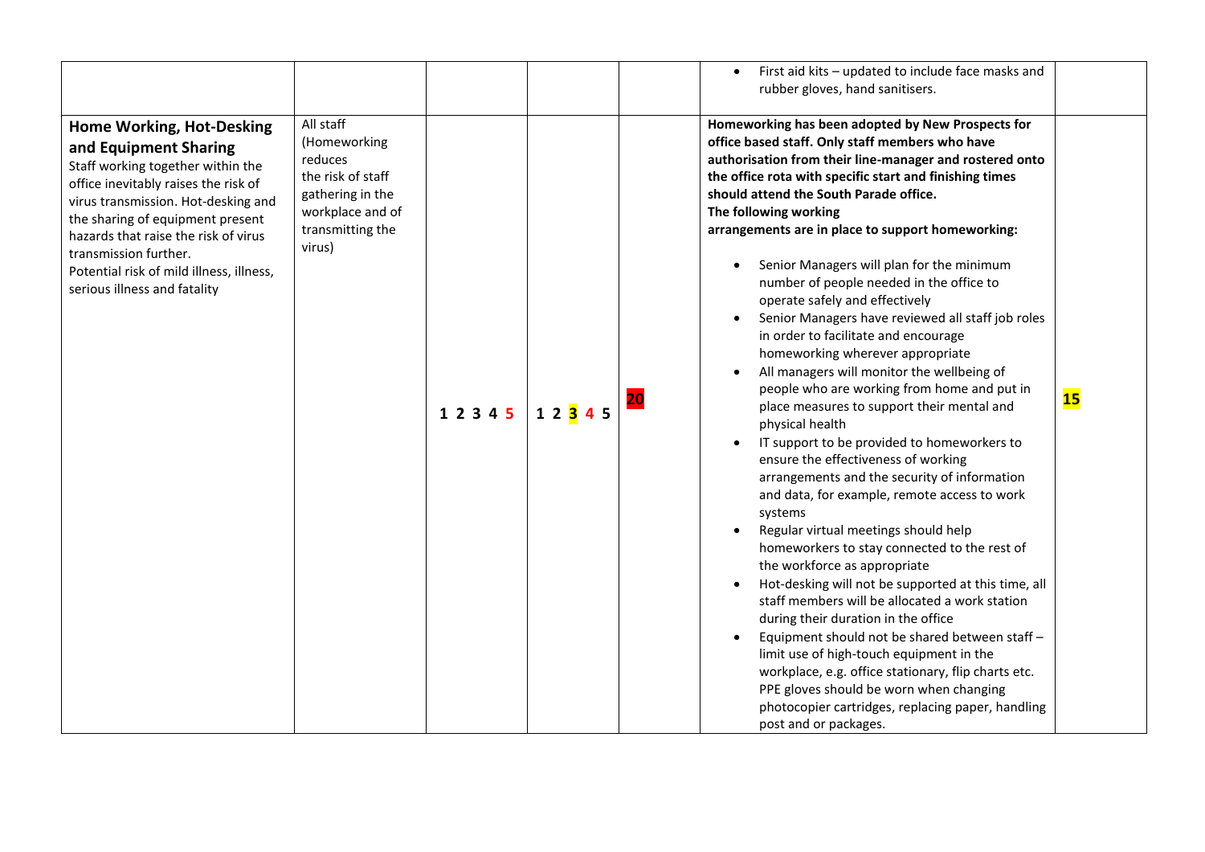|                                                                                                                                                                                                                                                                                                                                                         |                                                                                                                                 |       |           |    | First aid kits - updated to include face masks and<br>$\bullet$<br>rubber gloves, hand sanitisers.                                                                                                                                                                                                                                                                                                                                                                                                                                                                                                                                                                                                                                                                                                                                                                                                                                                                                                                                                                                                                                                                                                                                                                                                                                                                                                                                                                                                                                  |    |
|---------------------------------------------------------------------------------------------------------------------------------------------------------------------------------------------------------------------------------------------------------------------------------------------------------------------------------------------------------|---------------------------------------------------------------------------------------------------------------------------------|-------|-----------|----|-------------------------------------------------------------------------------------------------------------------------------------------------------------------------------------------------------------------------------------------------------------------------------------------------------------------------------------------------------------------------------------------------------------------------------------------------------------------------------------------------------------------------------------------------------------------------------------------------------------------------------------------------------------------------------------------------------------------------------------------------------------------------------------------------------------------------------------------------------------------------------------------------------------------------------------------------------------------------------------------------------------------------------------------------------------------------------------------------------------------------------------------------------------------------------------------------------------------------------------------------------------------------------------------------------------------------------------------------------------------------------------------------------------------------------------------------------------------------------------------------------------------------------------|----|
| Home Working, Hot-Desking<br>and Equipment Sharing<br>Staff working together within the<br>office inevitably raises the risk of<br>virus transmission. Hot-desking and<br>the sharing of equipment present<br>hazards that raise the risk of virus<br>transmission further.<br>Potential risk of mild illness, illness,<br>serious illness and fatality | All staff<br>(Homeworking<br>reduces<br>the risk of staff<br>gathering in the<br>workplace and of<br>transmitting the<br>virus) | 12345 | 1 2 3 4 5 | 20 | Homeworking has been adopted by New Prospects for<br>office based staff. Only staff members who have<br>authorisation from their line-manager and rostered onto<br>the office rota with specific start and finishing times<br>should attend the South Parade office.<br>The following working<br>arrangements are in place to support homeworking:<br>Senior Managers will plan for the minimum<br>number of people needed in the office to<br>operate safely and effectively<br>Senior Managers have reviewed all staff job roles<br>in order to facilitate and encourage<br>homeworking wherever appropriate<br>All managers will monitor the wellbeing of<br>people who are working from home and put in<br>place measures to support their mental and<br>physical health<br>IT support to be provided to homeworkers to<br>ensure the effectiveness of working<br>arrangements and the security of information<br>and data, for example, remote access to work<br>systems<br>Regular virtual meetings should help<br>homeworkers to stay connected to the rest of<br>the workforce as appropriate<br>Hot-desking will not be supported at this time, all<br>staff members will be allocated a work station<br>during their duration in the office<br>Equipment should not be shared between staff -<br>limit use of high-touch equipment in the<br>workplace, e.g. office stationary, flip charts etc.<br>PPE gloves should be worn when changing<br>photocopier cartridges, replacing paper, handling<br>post and or packages. | 15 |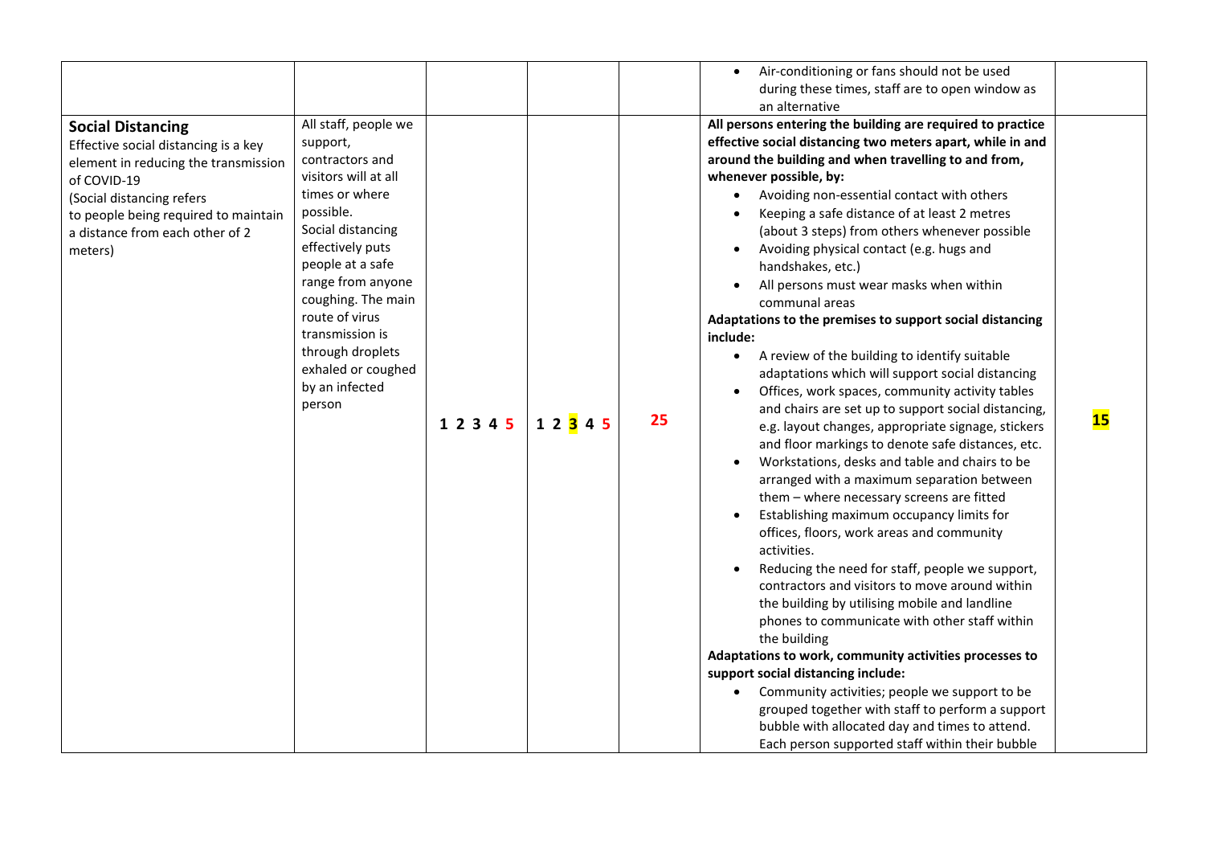|                                                                                                                                                                                                                                            |                                                                                                                                                                                                                                                                                                                               |           |                        |    | Air-conditioning or fans should not be used                                                                                                                                                                                                                                                                                                                                                                                                                                                                                                                                                                                                                                                                                                                                                                                                                                                                                                                                                                                                                                                                                                                                                                                                                                                                                                                                                                                                                                                                                                                                                                                                |           |
|--------------------------------------------------------------------------------------------------------------------------------------------------------------------------------------------------------------------------------------------|-------------------------------------------------------------------------------------------------------------------------------------------------------------------------------------------------------------------------------------------------------------------------------------------------------------------------------|-----------|------------------------|----|--------------------------------------------------------------------------------------------------------------------------------------------------------------------------------------------------------------------------------------------------------------------------------------------------------------------------------------------------------------------------------------------------------------------------------------------------------------------------------------------------------------------------------------------------------------------------------------------------------------------------------------------------------------------------------------------------------------------------------------------------------------------------------------------------------------------------------------------------------------------------------------------------------------------------------------------------------------------------------------------------------------------------------------------------------------------------------------------------------------------------------------------------------------------------------------------------------------------------------------------------------------------------------------------------------------------------------------------------------------------------------------------------------------------------------------------------------------------------------------------------------------------------------------------------------------------------------------------------------------------------------------------|-----------|
|                                                                                                                                                                                                                                            |                                                                                                                                                                                                                                                                                                                               |           |                        |    | during these times, staff are to open window as                                                                                                                                                                                                                                                                                                                                                                                                                                                                                                                                                                                                                                                                                                                                                                                                                                                                                                                                                                                                                                                                                                                                                                                                                                                                                                                                                                                                                                                                                                                                                                                            |           |
|                                                                                                                                                                                                                                            |                                                                                                                                                                                                                                                                                                                               |           |                        |    | an alternative                                                                                                                                                                                                                                                                                                                                                                                                                                                                                                                                                                                                                                                                                                                                                                                                                                                                                                                                                                                                                                                                                                                                                                                                                                                                                                                                                                                                                                                                                                                                                                                                                             |           |
| <b>Social Distancing</b><br>Effective social distancing is a key<br>element in reducing the transmission<br>of COVID-19<br>(Social distancing refers<br>to people being required to maintain<br>a distance from each other of 2<br>meters) | All staff, people we<br>support,<br>contractors and<br>visitors will at all<br>times or where<br>possible.<br>Social distancing<br>effectively puts<br>people at a safe<br>range from anyone<br>coughing. The main<br>route of virus<br>transmission is<br>through droplets<br>exhaled or coughed<br>by an infected<br>person | 1 2 3 4 5 | 1 2 <mark>3</mark> 4 5 | 25 | All persons entering the building are required to practice<br>effective social distancing two meters apart, while in and<br>around the building and when travelling to and from,<br>whenever possible, by:<br>Avoiding non-essential contact with others<br>Keeping a safe distance of at least 2 metres<br>(about 3 steps) from others whenever possible<br>Avoiding physical contact (e.g. hugs and<br>handshakes, etc.)<br>All persons must wear masks when within<br>communal areas<br>Adaptations to the premises to support social distancing<br>include:<br>A review of the building to identify suitable<br>$\bullet$<br>adaptations which will support social distancing<br>Offices, work spaces, community activity tables<br>and chairs are set up to support social distancing,<br>e.g. layout changes, appropriate signage, stickers<br>and floor markings to denote safe distances, etc.<br>Workstations, desks and table and chairs to be<br>arranged with a maximum separation between<br>them - where necessary screens are fitted<br>Establishing maximum occupancy limits for<br>offices, floors, work areas and community<br>activities.<br>Reducing the need for staff, people we support,<br>contractors and visitors to move around within<br>the building by utilising mobile and landline<br>phones to communicate with other staff within<br>the building<br>Adaptations to work, community activities processes to<br>support social distancing include:<br>Community activities; people we support to be<br>grouped together with staff to perform a support<br>bubble with allocated day and times to attend. | <b>15</b> |
|                                                                                                                                                                                                                                            |                                                                                                                                                                                                                                                                                                                               |           |                        |    | Each person supported staff within their bubble                                                                                                                                                                                                                                                                                                                                                                                                                                                                                                                                                                                                                                                                                                                                                                                                                                                                                                                                                                                                                                                                                                                                                                                                                                                                                                                                                                                                                                                                                                                                                                                            |           |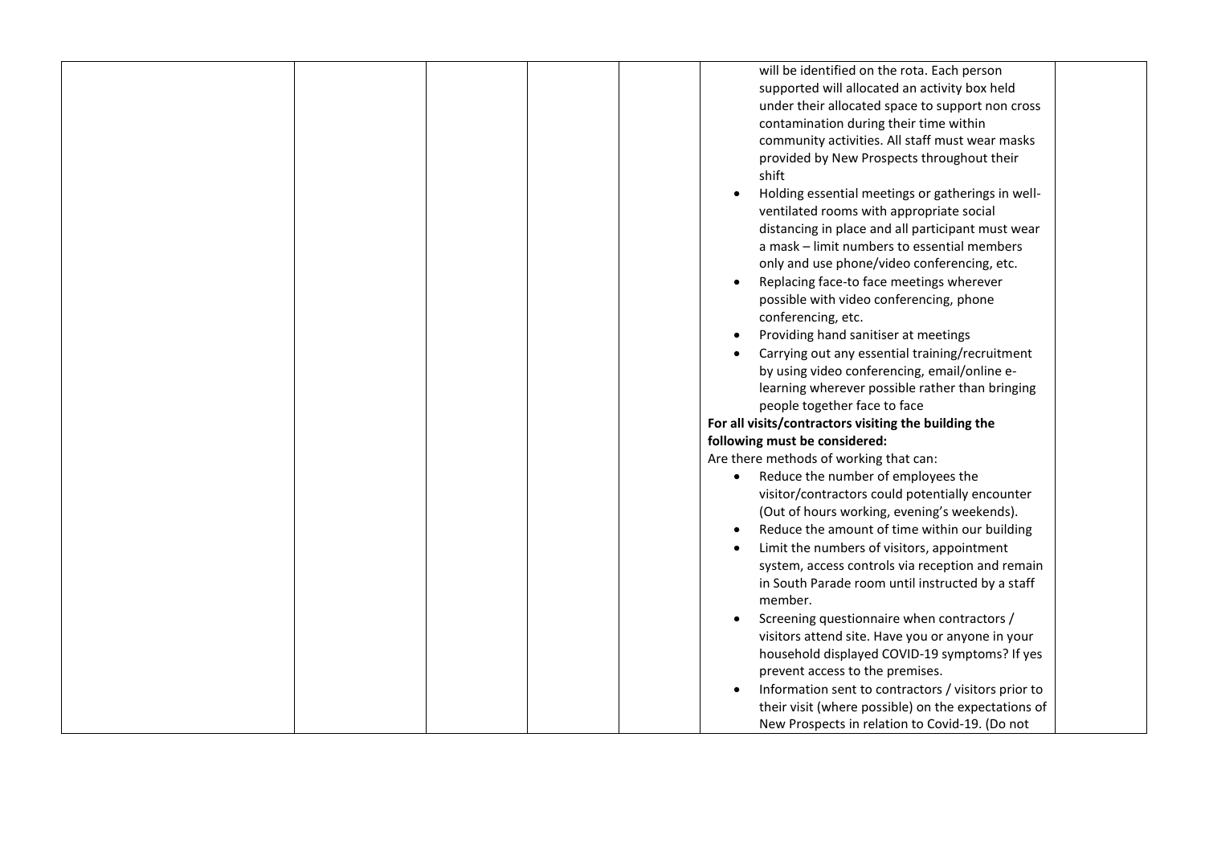|  |  | will be identified on the rota. Each person          |  |
|--|--|------------------------------------------------------|--|
|  |  | supported will allocated an activity box held        |  |
|  |  | under their allocated space to support non cross     |  |
|  |  | contamination during their time within               |  |
|  |  | community activities. All staff must wear masks      |  |
|  |  | provided by New Prospects throughout their           |  |
|  |  | shift                                                |  |
|  |  | Holding essential meetings or gatherings in well-    |  |
|  |  | ventilated rooms with appropriate social             |  |
|  |  |                                                      |  |
|  |  | distancing in place and all participant must wear    |  |
|  |  | a mask - limit numbers to essential members          |  |
|  |  | only and use phone/video conferencing, etc.          |  |
|  |  | Replacing face-to face meetings wherever             |  |
|  |  | possible with video conferencing, phone              |  |
|  |  | conferencing, etc.                                   |  |
|  |  | Providing hand sanitiser at meetings                 |  |
|  |  | Carrying out any essential training/recruitment      |  |
|  |  | by using video conferencing, email/online e-         |  |
|  |  | learning wherever possible rather than bringing      |  |
|  |  | people together face to face                         |  |
|  |  | For all visits/contractors visiting the building the |  |
|  |  | following must be considered:                        |  |
|  |  | Are there methods of working that can:               |  |
|  |  | Reduce the number of employees the<br>$\bullet$      |  |
|  |  | visitor/contractors could potentially encounter      |  |
|  |  | (Out of hours working, evening's weekends).          |  |
|  |  | Reduce the amount of time within our building        |  |
|  |  | Limit the numbers of visitors, appointment           |  |
|  |  |                                                      |  |
|  |  | system, access controls via reception and remain     |  |
|  |  | in South Parade room until instructed by a staff     |  |
|  |  | member.                                              |  |
|  |  | Screening questionnaire when contractors /           |  |
|  |  | visitors attend site. Have you or anyone in your     |  |
|  |  | household displayed COVID-19 symptoms? If yes        |  |
|  |  | prevent access to the premises.                      |  |
|  |  | Information sent to contractors / visitors prior to  |  |
|  |  | their visit (where possible) on the expectations of  |  |
|  |  | New Prospects in relation to Covid-19. (Do not       |  |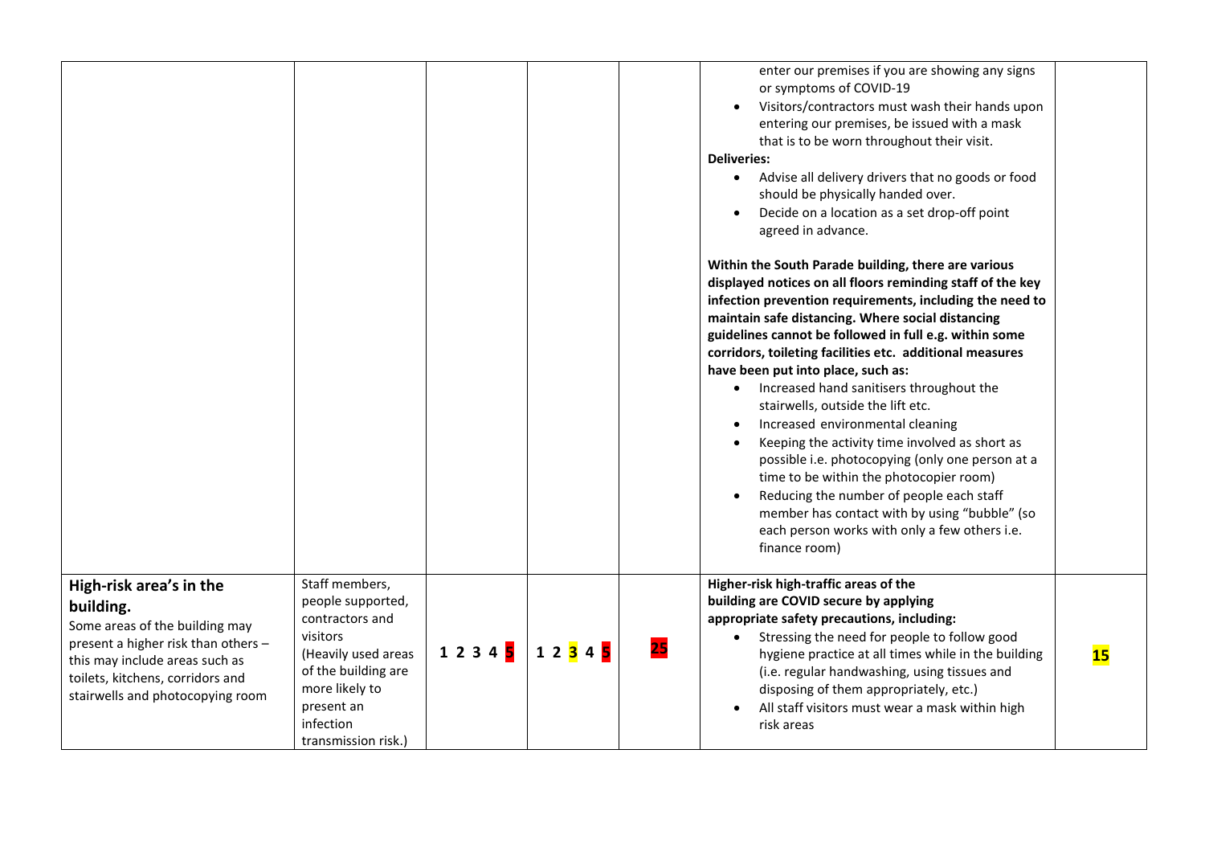|                                                                                                                                                                                     |                                                                                                                                    |       |       |    | enter our premises if you are showing any signs<br>or symptoms of COVID-19<br>Visitors/contractors must wash their hands upon<br>$\bullet$<br>entering our premises, be issued with a mask<br>that is to be worn throughout their visit.<br><b>Deliveries:</b><br>Advise all delivery drivers that no goods or food<br>$\bullet$<br>should be physically handed over.<br>Decide on a location as a set drop-off point<br>$\bullet$<br>agreed in advance.<br>Within the South Parade building, there are various<br>displayed notices on all floors reminding staff of the key<br>infection prevention requirements, including the need to<br>maintain safe distancing. Where social distancing<br>guidelines cannot be followed in full e.g. within some<br>corridors, toileting facilities etc. additional measures<br>have been put into place, such as:<br>• Increased hand sanitisers throughout the<br>stairwells, outside the lift etc.<br>Increased environmental cleaning<br>$\bullet$<br>Keeping the activity time involved as short as<br>$\bullet$<br>possible i.e. photocopying (only one person at a<br>time to be within the photocopier room)<br>Reducing the number of people each staff<br>$\bullet$<br>member has contact with by using "bubble" (so<br>each person works with only a few others i.e.<br>finance room) |           |
|-------------------------------------------------------------------------------------------------------------------------------------------------------------------------------------|------------------------------------------------------------------------------------------------------------------------------------|-------|-------|----|------------------------------------------------------------------------------------------------------------------------------------------------------------------------------------------------------------------------------------------------------------------------------------------------------------------------------------------------------------------------------------------------------------------------------------------------------------------------------------------------------------------------------------------------------------------------------------------------------------------------------------------------------------------------------------------------------------------------------------------------------------------------------------------------------------------------------------------------------------------------------------------------------------------------------------------------------------------------------------------------------------------------------------------------------------------------------------------------------------------------------------------------------------------------------------------------------------------------------------------------------------------------------------------------------------------------------------------|-----------|
| High-risk area's in the<br>building.<br>Some areas of the building may<br>present a higher risk than others -<br>this may include areas such as<br>toilets, kitchens, corridors and | Staff members,<br>people supported,<br>contractors and<br>visitors<br>(Heavily used areas<br>of the building are<br>more likely to | 12345 | 12345 | 25 | Higher-risk high-traffic areas of the<br>building are COVID secure by applying<br>appropriate safety precautions, including:<br>Stressing the need for people to follow good<br>hygiene practice at all times while in the building<br>(i.e. regular handwashing, using tissues and<br>disposing of them appropriately, etc.)                                                                                                                                                                                                                                                                                                                                                                                                                                                                                                                                                                                                                                                                                                                                                                                                                                                                                                                                                                                                            | <b>15</b> |
| stairwells and photocopying room                                                                                                                                                    | present an<br>infection<br>transmission risk.)                                                                                     |       |       |    | All staff visitors must wear a mask within high<br>$\bullet$<br>risk areas                                                                                                                                                                                                                                                                                                                                                                                                                                                                                                                                                                                                                                                                                                                                                                                                                                                                                                                                                                                                                                                                                                                                                                                                                                                               |           |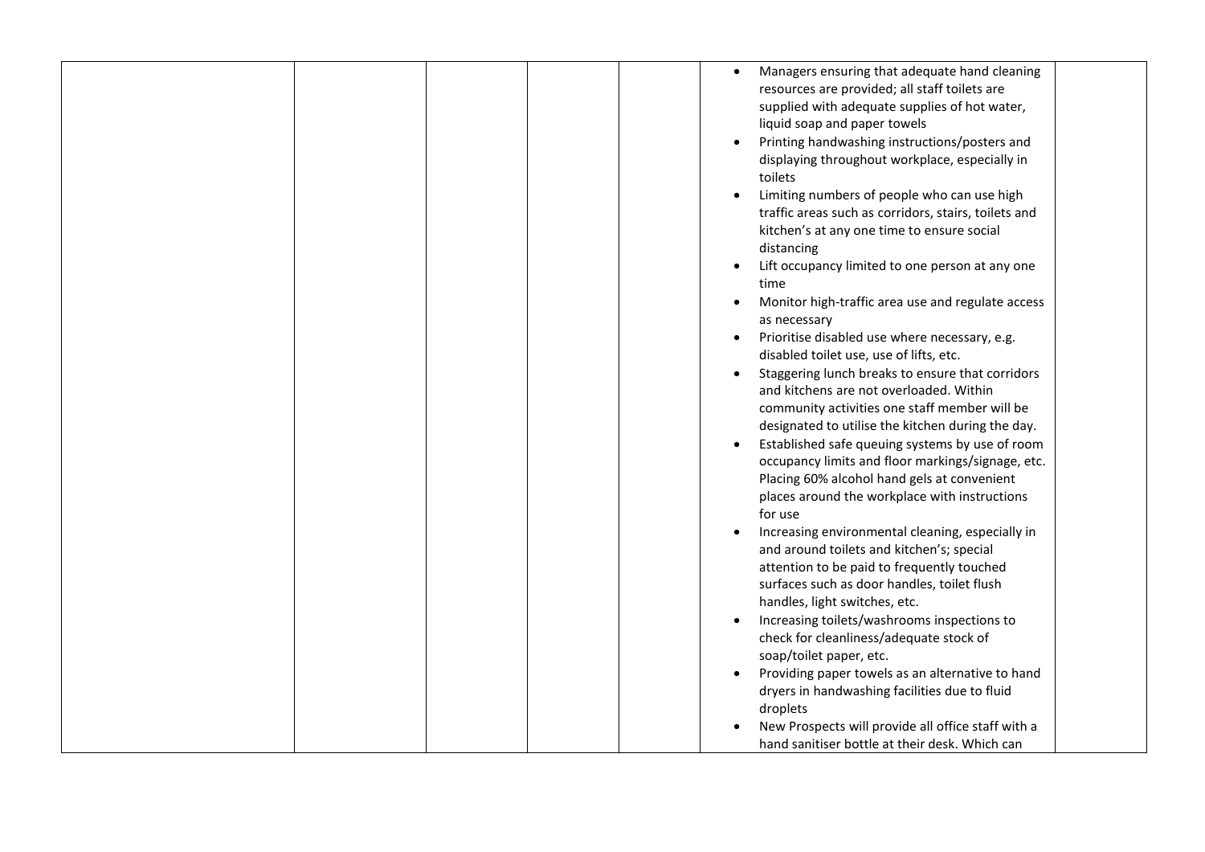|  | Managers ensuring that adequate hand cleaning<br>$\bullet$<br>resources are provided; all staff toilets are |
|--|-------------------------------------------------------------------------------------------------------------|
|  | supplied with adequate supplies of hot water,<br>liquid soap and paper towels                               |
|  | Printing handwashing instructions/posters and                                                               |
|  | displaying throughout workplace, especially in                                                              |
|  | toilets                                                                                                     |
|  | Limiting numbers of people who can use high                                                                 |
|  | traffic areas such as corridors, stairs, toilets and                                                        |
|  | kitchen's at any one time to ensure social                                                                  |
|  | distancing                                                                                                  |
|  | Lift occupancy limited to one person at any one                                                             |
|  | time                                                                                                        |
|  | Monitor high-traffic area use and regulate access<br>as necessary                                           |
|  | Prioritise disabled use where necessary, e.g.                                                               |
|  | disabled toilet use, use of lifts, etc.                                                                     |
|  | Staggering lunch breaks to ensure that corridors                                                            |
|  | and kitchens are not overloaded. Within                                                                     |
|  | community activities one staff member will be                                                               |
|  | designated to utilise the kitchen during the day.                                                           |
|  | Established safe queuing systems by use of room                                                             |
|  | occupancy limits and floor markings/signage, etc.                                                           |
|  | Placing 60% alcohol hand gels at convenient                                                                 |
|  | places around the workplace with instructions<br>for use                                                    |
|  | Increasing environmental cleaning, especially in                                                            |
|  | and around toilets and kitchen's; special                                                                   |
|  | attention to be paid to frequently touched                                                                  |
|  | surfaces such as door handles, toilet flush                                                                 |
|  | handles, light switches, etc.                                                                               |
|  | Increasing toilets/washrooms inspections to                                                                 |
|  | check for cleanliness/adequate stock of                                                                     |
|  | soap/toilet paper, etc.                                                                                     |
|  | Providing paper towels as an alternative to hand                                                            |
|  | dryers in handwashing facilities due to fluid                                                               |
|  | droplets                                                                                                    |
|  | New Prospects will provide all office staff with a                                                          |
|  | hand sanitiser bottle at their desk. Which can                                                              |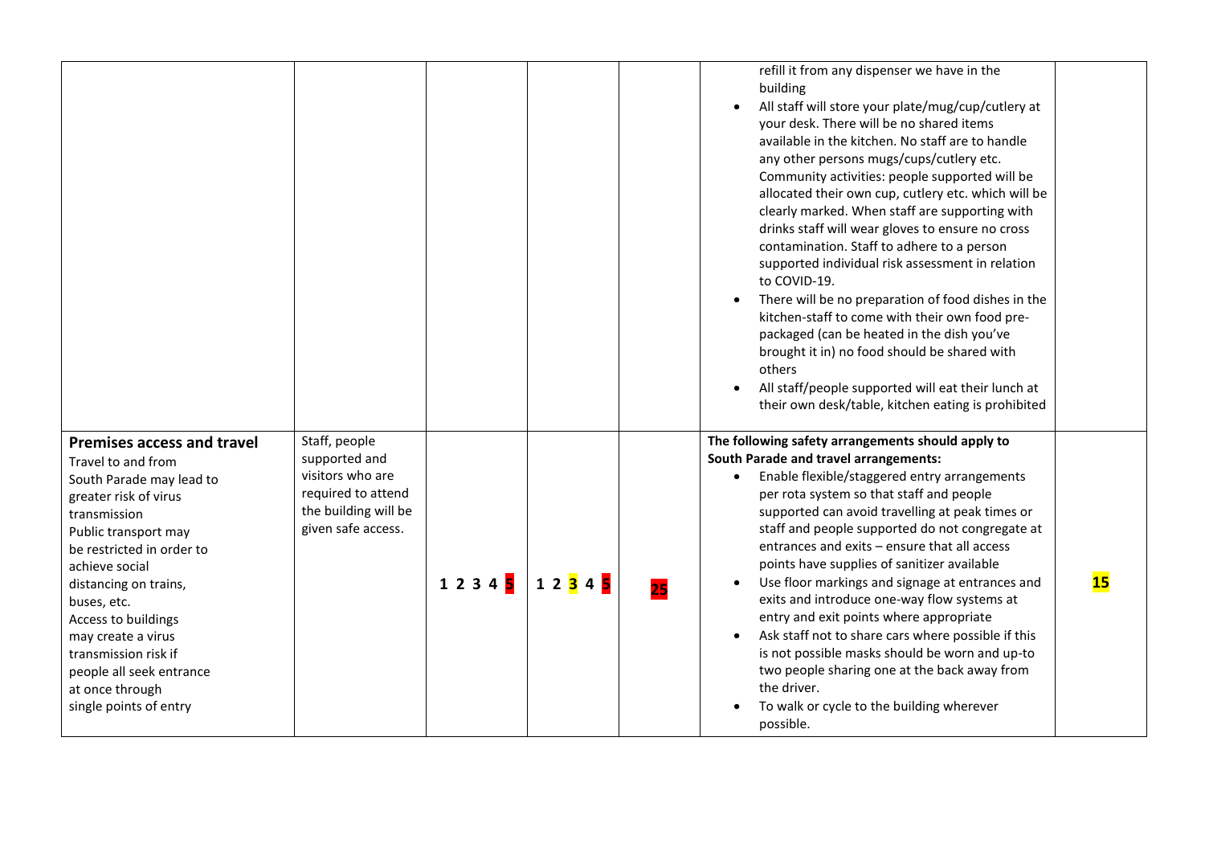|                                                                                                                                                                                                                                                                                                                                                                                           |                                                                                                                        |       |                        | refill it from any dispenser we have in the<br>building<br>All staff will store your plate/mug/cup/cutlery at<br>$\bullet$<br>your desk. There will be no shared items<br>available in the kitchen. No staff are to handle<br>any other persons mugs/cups/cutlery etc.<br>Community activities: people supported will be<br>allocated their own cup, cutlery etc. which will be<br>clearly marked. When staff are supporting with<br>drinks staff will wear gloves to ensure no cross<br>contamination. Staff to adhere to a person<br>supported individual risk assessment in relation<br>to COVID-19.<br>There will be no preparation of food dishes in the<br>kitchen-staff to come with their own food pre-<br>packaged (can be heated in the dish you've<br>brought it in) no food should be shared with<br>others<br>All staff/people supported will eat their lunch at<br>$\bullet$<br>their own desk/table, kitchen eating is prohibited |           |
|-------------------------------------------------------------------------------------------------------------------------------------------------------------------------------------------------------------------------------------------------------------------------------------------------------------------------------------------------------------------------------------------|------------------------------------------------------------------------------------------------------------------------|-------|------------------------|--------------------------------------------------------------------------------------------------------------------------------------------------------------------------------------------------------------------------------------------------------------------------------------------------------------------------------------------------------------------------------------------------------------------------------------------------------------------------------------------------------------------------------------------------------------------------------------------------------------------------------------------------------------------------------------------------------------------------------------------------------------------------------------------------------------------------------------------------------------------------------------------------------------------------------------------------|-----------|
| <b>Premises access and travel</b><br>Travel to and from<br>South Parade may lead to<br>greater risk of virus<br>transmission<br>Public transport may<br>be restricted in order to<br>achieve social<br>distancing on trains,<br>buses, etc.<br>Access to buildings<br>may create a virus<br>transmission risk if<br>people all seek entrance<br>at once through<br>single points of entry | Staff, people<br>supported and<br>visitors who are<br>required to attend<br>the building will be<br>given safe access. | 12345 | 1 2 <mark>3</mark> 4 5 | The following safety arrangements should apply to<br><b>South Parade and travel arrangements:</b><br>Enable flexible/staggered entry arrangements<br>$\bullet$<br>per rota system so that staff and people<br>supported can avoid travelling at peak times or<br>staff and people supported do not congregate at<br>entrances and exits - ensure that all access<br>points have supplies of sanitizer available<br>Use floor markings and signage at entrances and<br>exits and introduce one-way flow systems at<br>entry and exit points where appropriate<br>Ask staff not to share cars where possible if this<br>$\bullet$<br>is not possible masks should be worn and up-to<br>two people sharing one at the back away from<br>the driver.<br>To walk or cycle to the building wherever<br>$\bullet$<br>possible.                                                                                                                          | <b>15</b> |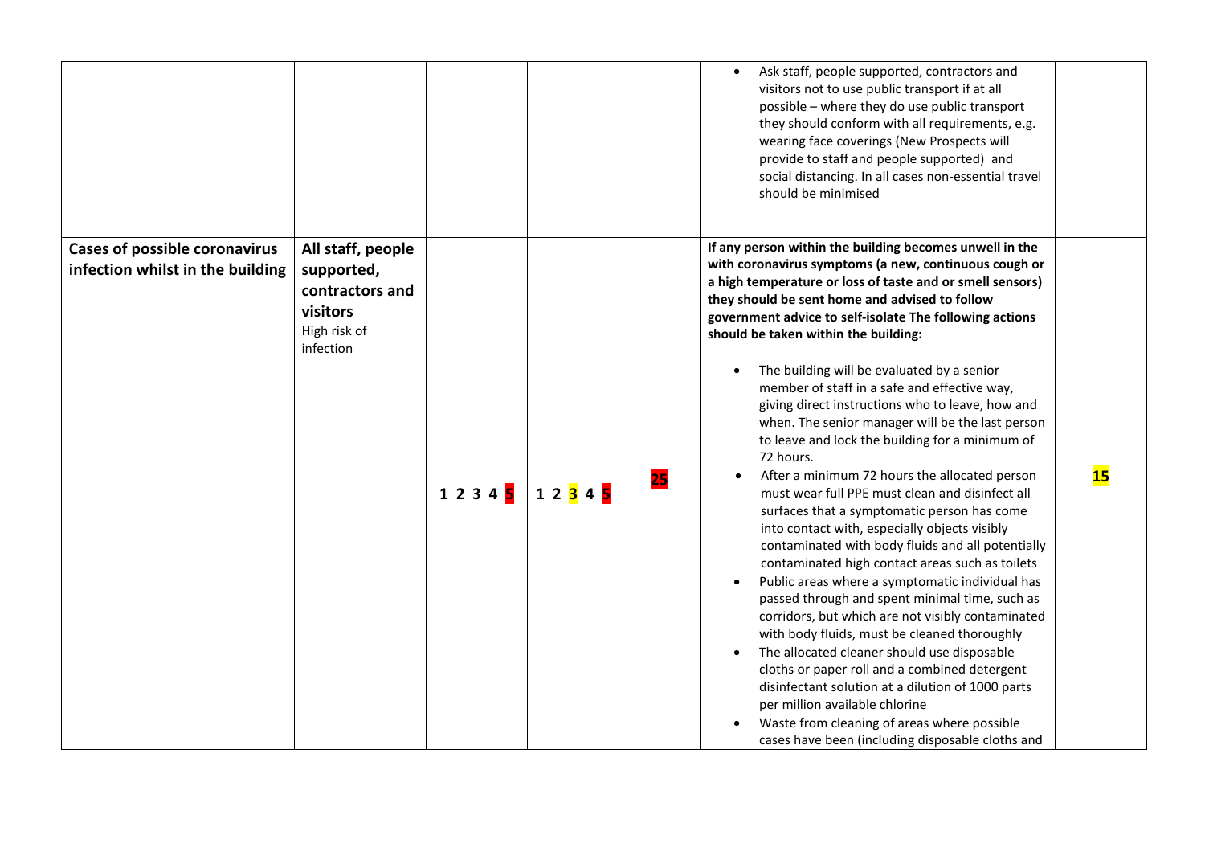|                                                                          |                                                                                             |                        |           |    | Ask staff, people supported, contractors and<br>visitors not to use public transport if at all<br>possible - where they do use public transport<br>they should conform with all requirements, e.g.<br>wearing face coverings (New Prospects will<br>provide to staff and people supported) and<br>social distancing. In all cases non-essential travel<br>should be minimised                                                                                                                                                                                                                                                                                                                                                                                                                                                                                                                                                                                                                                                                                                                                                                                                                                                                                                                                                                                                                                                               |  |
|--------------------------------------------------------------------------|---------------------------------------------------------------------------------------------|------------------------|-----------|----|---------------------------------------------------------------------------------------------------------------------------------------------------------------------------------------------------------------------------------------------------------------------------------------------------------------------------------------------------------------------------------------------------------------------------------------------------------------------------------------------------------------------------------------------------------------------------------------------------------------------------------------------------------------------------------------------------------------------------------------------------------------------------------------------------------------------------------------------------------------------------------------------------------------------------------------------------------------------------------------------------------------------------------------------------------------------------------------------------------------------------------------------------------------------------------------------------------------------------------------------------------------------------------------------------------------------------------------------------------------------------------------------------------------------------------------------|--|
| <b>Cases of possible coronavirus</b><br>infection whilst in the building | All staff, people<br>supported,<br>contractors and<br>visitors<br>High risk of<br>infection | 1 2 3 4 <mark>5</mark> | 1 2 3 4 5 | 25 | If any person within the building becomes unwell in the<br>with coronavirus symptoms (a new, continuous cough or<br>a high temperature or loss of taste and or smell sensors)<br>they should be sent home and advised to follow<br>government advice to self-isolate The following actions<br>should be taken within the building:<br>The building will be evaluated by a senior<br>member of staff in a safe and effective way,<br>giving direct instructions who to leave, how and<br>when. The senior manager will be the last person<br>to leave and lock the building for a minimum of<br>72 hours.<br>15<br>After a minimum 72 hours the allocated person<br>must wear full PPE must clean and disinfect all<br>surfaces that a symptomatic person has come<br>into contact with, especially objects visibly<br>contaminated with body fluids and all potentially<br>contaminated high contact areas such as toilets<br>Public areas where a symptomatic individual has<br>$\bullet$<br>passed through and spent minimal time, such as<br>corridors, but which are not visibly contaminated<br>with body fluids, must be cleaned thoroughly<br>The allocated cleaner should use disposable<br>cloths or paper roll and a combined detergent<br>disinfectant solution at a dilution of 1000 parts<br>per million available chlorine<br>Waste from cleaning of areas where possible<br>cases have been (including disposable cloths and |  |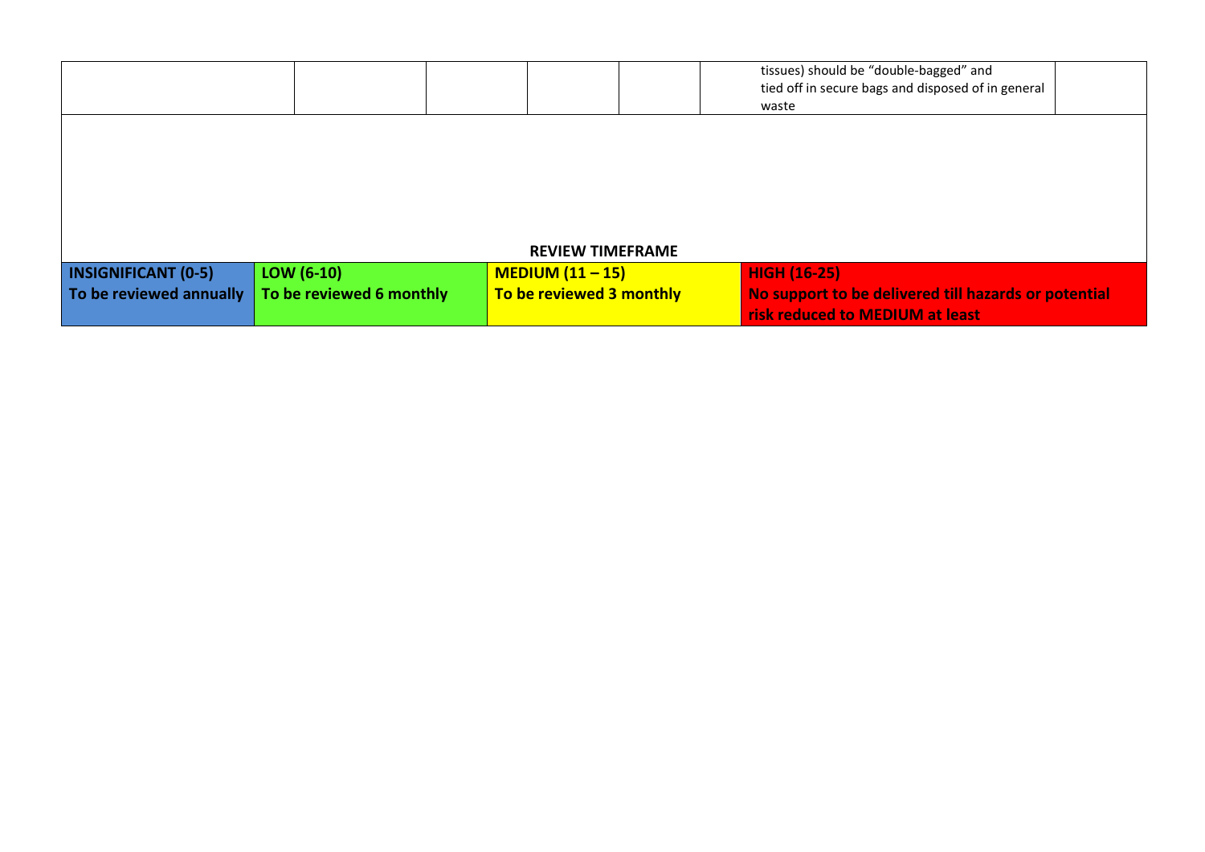|                            |                          |                          | tissues) should be "double-bagged" and<br>tied off in secure bags and disposed of in general<br>waste |  |
|----------------------------|--------------------------|--------------------------|-------------------------------------------------------------------------------------------------------|--|
|                            |                          |                          |                                                                                                       |  |
|                            |                          |                          |                                                                                                       |  |
|                            |                          |                          |                                                                                                       |  |
|                            |                          | <b>REVIEW TIMEFRAME</b>  |                                                                                                       |  |
| <b>INSIGNIFICANT (0-5)</b> | LOW $(6-10)$             | $MEDIUM (11 - 15)$       | <b>HIGH (16-25)</b>                                                                                   |  |
| To be reviewed annually    | To be reviewed 6 monthly | To be reviewed 3 monthly | No support to be delivered till hazards or potential<br>risk reduced to MEDIUM at least               |  |